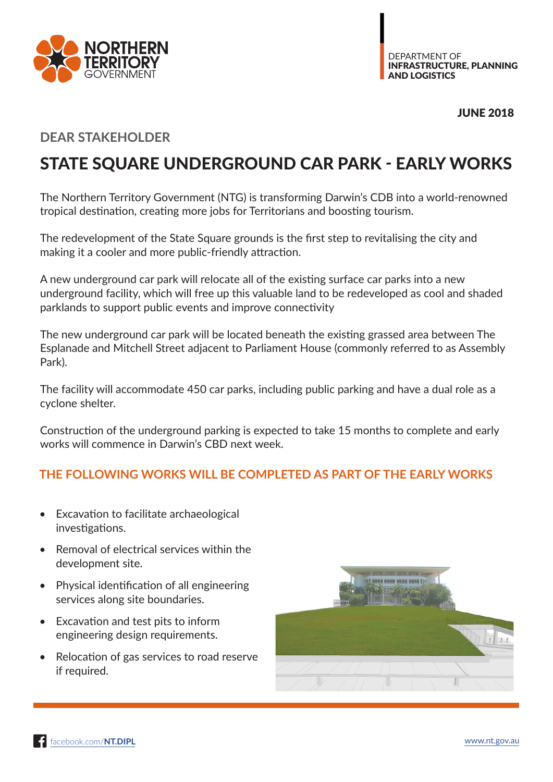



JUNE 2018

## **DEAR STAKEHOLDER**

## STATE SQUARE UNDERGROUND CAR PARK - EARLY WORKS

The Northern Territory Government (NTG) is transforming Darwin's CDB into a world-renowned tropical destination, creating more jobs for Territorians and boosting tourism.

The redevelopment of the State Square grounds is the first step to revitalising the city and making it a cooler and more public-friendly attraction.

A new underground car park will relocate all of the existing surface car parks into a new underground facility, which will free up this valuable land to be redeveloped as cool and shaded parklands to support public events and improve connectivity

The new underground car park will be located beneath the existing grassed area between The Esplanade and Mitchell Street adjacent to Parliament House (commonly referred to as Assembly Park).

The facility will accommodate 450 car parks, including public parking and have a dual role as a cyclone shelter.

Construction of the underground parking is expected to take 15 months to complete and early works will commence in Darwin's CBD next week.

## **THE FOLLOWING WORKS WILL BE COMPLETED AS PART OF THE EARLY WORKS**

- Excavation to facilitate archaeological investigations.
- Removal of electrical services within the development site.
- Physical identification of all engineering services along site boundaries.
- Excavation and test pits to inform engineering design requirements.
- Relocation of gas services to road reserve if required.